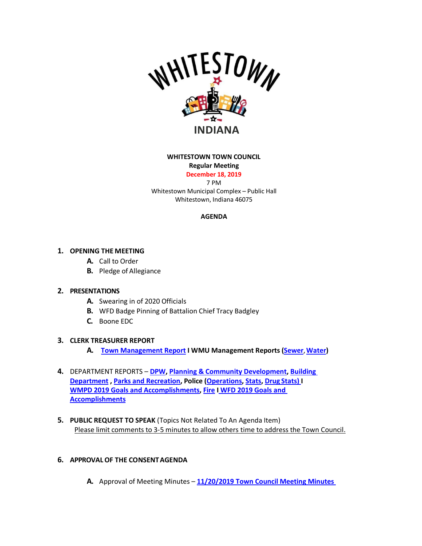

### **WHITESTOWN TOWN COUNCIL**

**Regular Meeting**

**December 18, 2019** 7 PM

Whitestown Municipal Complex – Public Hall Whitestown, Indiana 46075

## **AGENDA**

# **1. OPENING THE MEETING**

- **A.** Call to Order
- **B.** Pledge of Allegiance

### **2. PRESENTATIONS**

- **A.** Swearing in of 2020 Officials
- **B.** WFD Badge Pinning of Battalion Chief Tracy Badgley
- **C.** Boone EDC

### **3. CLERK TREASURER REPORT**

- **A. [Town Management Report](https://whitestown.in.gov/vertical/sites/%7BB8BE8AC3-9DE8-4247-BCB0-1173F48CC7C3%7D/uploads/November_2019_Town_Management_Report.pdf) I WMU Management Reports [\(Sewer](https://whitestown.in.gov/vertical/sites/%7BB8BE8AC3-9DE8-4247-BCB0-1173F48CC7C3%7D/uploads/November_2019_WMU_Management_Report_(Sewer).pdf)**,**[Water\)](https://whitestown.in.gov/vertical/sites/%7BB8BE8AC3-9DE8-4247-BCB0-1173F48CC7C3%7D/uploads/November_2019_WMU_Management_Report_(Water).pdf)**
- **4.** DEPARTMENT REPORTS **[DPW,](https://whitestown.in.gov/vertical/sites/%7BB8BE8AC3-9DE8-4247-BCB0-1173F48CC7C3%7D/uploads/November_2019_DPW_Report.pdf) [Planning & Community Development,](https://whitestown.in.gov/vertical/sites/%7BB8BE8AC3-9DE8-4247-BCB0-1173F48CC7C3%7D/uploads/November_2019_Planning_and_Comunnity_Development_Report.pdf) [Building](https://whitestown.in.gov/vertical/sites/%7BB8BE8AC3-9DE8-4247-BCB0-1173F48CC7C3%7D/uploads/November_2019_Building_Department_Report.pdf)  [Department](https://whitestown.in.gov/vertical/sites/%7BB8BE8AC3-9DE8-4247-BCB0-1173F48CC7C3%7D/uploads/November_2019_Building_Department_Report.pdf) , [Parks and Recreation,](https://whitestown.in.gov/vertical/sites/%7BB8BE8AC3-9DE8-4247-BCB0-1173F48CC7C3%7D/uploads/November_2019_Parks_Report.pdf) Police [\(Operations,](https://whitestown.in.gov/vertical/sites/%7BB8BE8AC3-9DE8-4247-BCB0-1173F48CC7C3%7D/uploads/November_2019_WMPD_Report.pdf) [Stats,](https://whitestown.in.gov/vertical/sites/%7BB8BE8AC3-9DE8-4247-BCB0-1173F48CC7C3%7D/uploads/November_2019_WMPD_Statistical_Data.pdf) Drug [Stats\)](https://whitestown.in.gov/vertical/sites/%7BB8BE8AC3-9DE8-4247-BCB0-1173F48CC7C3%7D/uploads/November_2019_WMPD_Drug_Statistics.pdf) I [WMPD 2019 Goals and Accomplishments,](https://whitestown.in.gov/vertical/sites/%7BB8BE8AC3-9DE8-4247-BCB0-1173F48CC7C3%7D/uploads/WMPD_2019_Goals_and_Objectives.pdf) [Fire](https://whitestown.in.gov/vertical/sites/%7BB8BE8AC3-9DE8-4247-BCB0-1173F48CC7C3%7D/uploads/November_2019_WFD_Report.pdf) I WFD [2019 Goals and](https://whitestown.in.gov/vertical/sites/%7BB8BE8AC3-9DE8-4247-BCB0-1173F48CC7C3%7D/uploads/2019_WFD_Goals_-_Accomplishments.pdf)  [Accomplishments](https://whitestown.in.gov/vertical/sites/%7BB8BE8AC3-9DE8-4247-BCB0-1173F48CC7C3%7D/uploads/2019_WFD_Goals_-_Accomplishments.pdf)**
- **5. PUBLIC REQUEST TO SPEAK** (Topics Not Related To An Agenda Item) Please limit comments to 3-5 minutes to allow others time to address the Town Council.

## **6. APPROVAL OF THE CONSENTAGENDA**

**A.** Approval of Meeting Minutes – **[11/20/2019 Town Council Meeting Minutes](https://whitestown.in.gov/vertical/sites/%7BB8BE8AC3-9DE8-4247-BCB0-1173F48CC7C3%7D/uploads/11-20-19_Whitestown_Town_Council_Meeting_Minutes.pdf)**